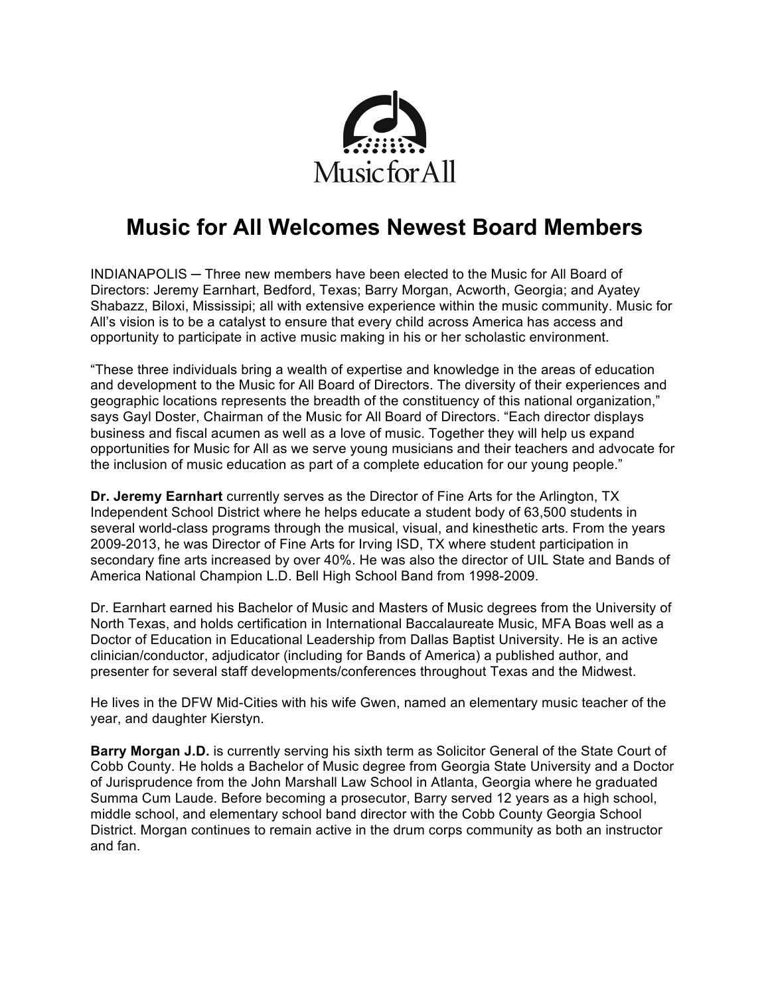

# **Music for All Welcomes Newest Board Members**

INDIANAPOLIS ─ Three new members have been elected to the Music for All Board of Directors: Jeremy Earnhart, Bedford, Texas; Barry Morgan, Acworth, Georgia; and Ayatey Shabazz, Biloxi, Mississipi; all with extensive experience within the music community. Music for All's vision is to be a catalyst to ensure that every child across America has access and opportunity to participate in active music making in his or her scholastic environment.

"These three individuals bring a wealth of expertise and knowledge in the areas of education and development to the Music for All Board of Directors. The diversity of their experiences and geographic locations represents the breadth of the constituency of this national organization," says Gayl Doster, Chairman of the Music for All Board of Directors. "Each director displays business and fiscal acumen as well as a love of music. Together they will help us expand opportunities for Music for All as we serve young musicians and their teachers and advocate for the inclusion of music education as part of a complete education for our young people."

**Dr. Jeremy Earnhart** currently serves as the Director of Fine Arts for the Arlington, TX Independent School District where he helps educate a student body of 63,500 students in several world-class programs through the musical, visual, and kinesthetic arts. From the years 2009-2013, he was Director of Fine Arts for Irving ISD, TX where student participation in secondary fine arts increased by over 40%. He was also the director of UIL State and Bands of America National Champion L.D. Bell High School Band from 1998-2009.

Dr. Earnhart earned his Bachelor of Music and Masters of Music degrees from the University of North Texas, and holds certification in International Baccalaureate Music, MFA Boas well as a Doctor of Education in Educational Leadership from Dallas Baptist University. He is an active clinician/conductor, adjudicator (including for Bands of America) a published author, and presenter for several staff developments/conferences throughout Texas and the Midwest.

He lives in the DFW Mid-Cities with his wife Gwen, named an elementary music teacher of the year, and daughter Kierstyn.

**Barry Morgan J.D.** is currently serving his sixth term as Solicitor General of the State Court of Cobb County. He holds a Bachelor of Music degree from Georgia State University and a Doctor of Jurisprudence from the John Marshall Law School in Atlanta, Georgia where he graduated Summa Cum Laude. Before becoming a prosecutor, Barry served 12 years as a high school, middle school, and elementary school band director with the Cobb County Georgia School District. Morgan continues to remain active in the drum corps community as both an instructor and fan.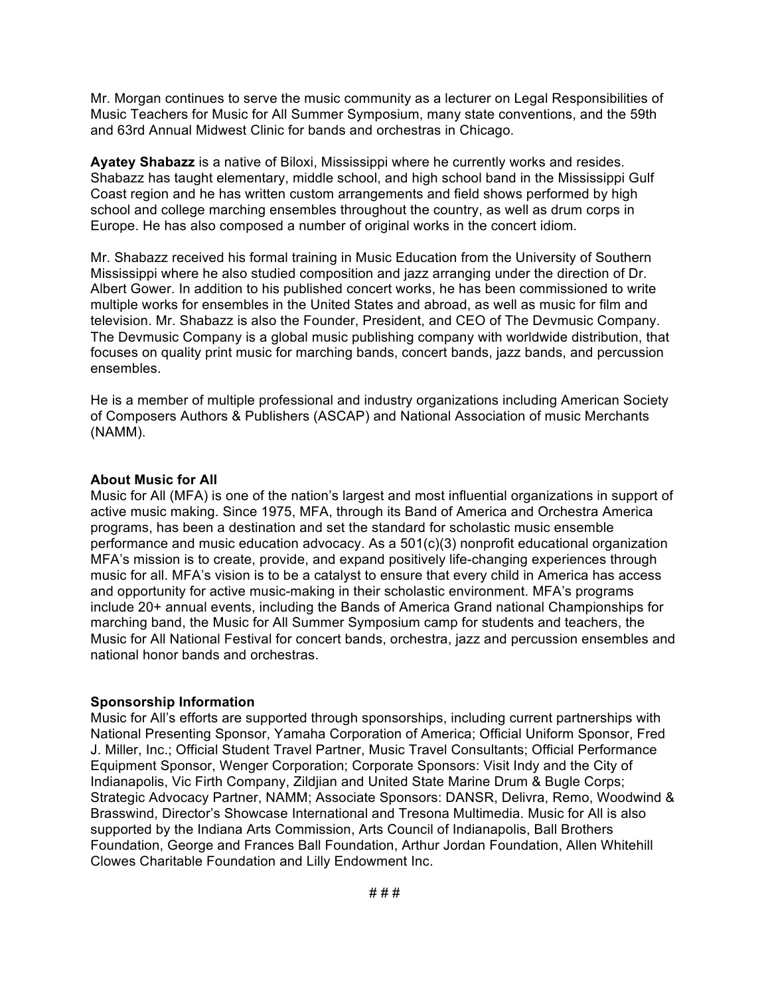Mr. Morgan continues to serve the music community as a lecturer on Legal Responsibilities of Music Teachers for Music for All Summer Symposium, many state conventions, and the 59th and 63rd Annual Midwest Clinic for bands and orchestras in Chicago.

**Ayatey Shabazz** is a native of Biloxi, Mississippi where he currently works and resides. Shabazz has taught elementary, middle school, and high school band in the Mississippi Gulf Coast region and he has written custom arrangements and field shows performed by high school and college marching ensembles throughout the country, as well as drum corps in Europe. He has also composed a number of original works in the concert idiom.

Mr. Shabazz received his formal training in Music Education from the University of Southern Mississippi where he also studied composition and jazz arranging under the direction of Dr. Albert Gower. In addition to his published concert works, he has been commissioned to write multiple works for ensembles in the United States and abroad, as well as music for film and television. Mr. Shabazz is also the Founder, President, and CEO of The Devmusic Company. The Devmusic Company is a global music publishing company with worldwide distribution, that focuses on quality print music for marching bands, concert bands, jazz bands, and percussion ensembles.

He is a member of multiple professional and industry organizations including American Society of Composers Authors & Publishers (ASCAP) and National Association of music Merchants (NAMM).

### **About Music for All**

Music for All (MFA) is one of the nation's largest and most influential organizations in support of active music making. Since 1975, MFA, through its Band of America and Orchestra America programs, has been a destination and set the standard for scholastic music ensemble performance and music education advocacy. As a 501(c)(3) nonprofit educational organization MFA's mission is to create, provide, and expand positively life-changing experiences through music for all. MFA's vision is to be a catalyst to ensure that every child in America has access and opportunity for active music-making in their scholastic environment. MFA's programs include 20+ annual events, including the Bands of America Grand national Championships for marching band, the Music for All Summer Symposium camp for students and teachers, the Music for All National Festival for concert bands, orchestra, jazz and percussion ensembles and national honor bands and orchestras.

#### **Sponsorship Information**

Music for All's efforts are supported through sponsorships, including current partnerships with National Presenting Sponsor, Yamaha Corporation of America; Official Uniform Sponsor, Fred J. Miller, Inc.; Official Student Travel Partner, Music Travel Consultants; Official Performance Equipment Sponsor, Wenger Corporation; Corporate Sponsors: Visit Indy and the City of Indianapolis, Vic Firth Company, Zildjian and United State Marine Drum & Bugle Corps; Strategic Advocacy Partner, NAMM; Associate Sponsors: DANSR, Delivra, Remo, Woodwind & Brasswind, Director's Showcase International and Tresona Multimedia. Music for All is also supported by the Indiana Arts Commission, Arts Council of Indianapolis, Ball Brothers Foundation, George and Frances Ball Foundation, Arthur Jordan Foundation, Allen Whitehill Clowes Charitable Foundation and Lilly Endowment Inc.